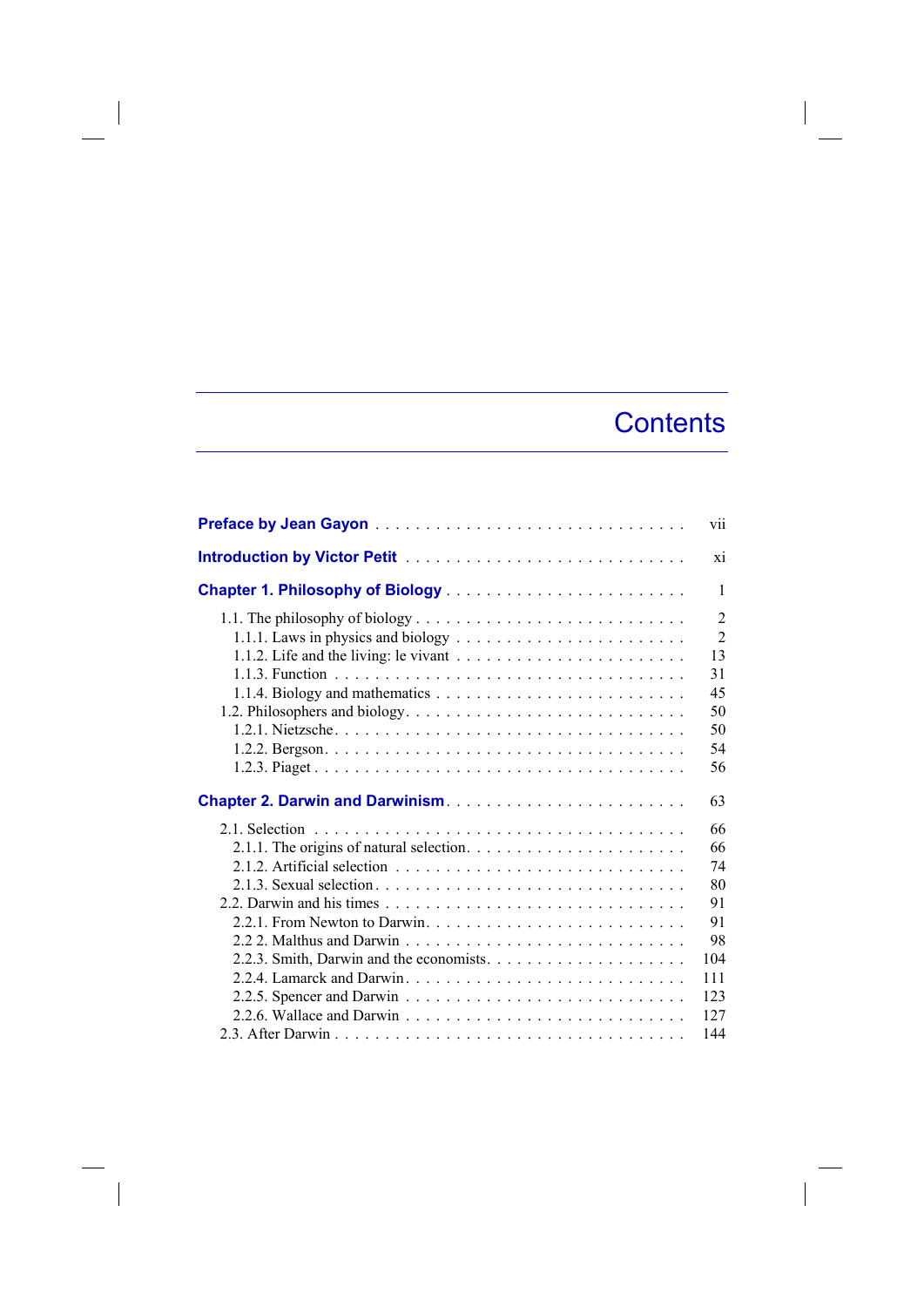## **Contents**

 $\overline{\phantom{a}}$ 

|                                                                                             | vii            |
|---------------------------------------------------------------------------------------------|----------------|
|                                                                                             | xi             |
|                                                                                             | 1              |
|                                                                                             | $\overline{2}$ |
|                                                                                             | $\overline{2}$ |
|                                                                                             | 13             |
|                                                                                             | 31             |
|                                                                                             | 45             |
|                                                                                             | 50             |
|                                                                                             | 50             |
|                                                                                             | 54             |
|                                                                                             | 56             |
|                                                                                             |                |
|                                                                                             | 63             |
|                                                                                             | 66             |
| 2.1.1. The origins of natural selection. $\ldots \ldots \ldots \ldots \ldots \ldots \ldots$ | 66             |
|                                                                                             | 74             |
|                                                                                             | 80             |
|                                                                                             | 91             |
|                                                                                             | 91             |
|                                                                                             | 98             |
|                                                                                             | 104            |
|                                                                                             | 111            |
|                                                                                             | 123            |
|                                                                                             | 127            |
|                                                                                             |                |

 $\begin{array}{c} \hline \end{array}$ 

 $\overline{\phantom{a}}$